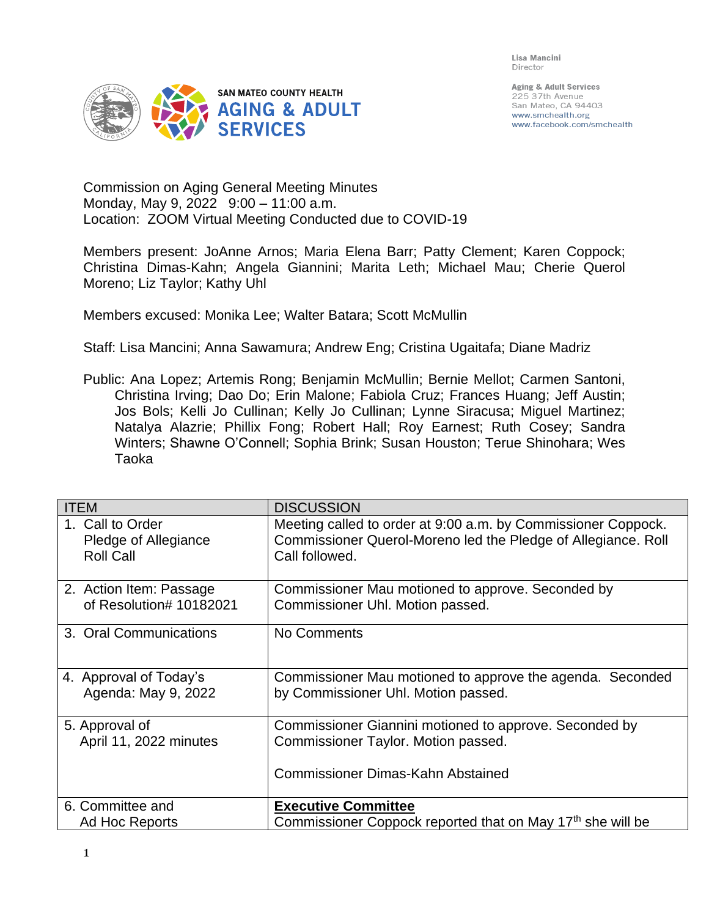Lisa Mancini Director



Aging & Adult Services 225 37th Avenue San Mateo, CA 94403 www.smchealth.org www.facebook.com/smchealth

Commission on Aging General Meeting Minutes Monday, May 9, 2022 9:00 – 11:00 a.m. Location: ZOOM Virtual Meeting Conducted due to COVID-19

Members present: JoAnne Arnos; Maria Elena Barr; Patty Clement; Karen Coppock; Christina Dimas-Kahn; Angela Giannini; Marita Leth; Michael Mau; Cherie Querol Moreno; Liz Taylor; Kathy Uhl

Members excused: Monika Lee; Walter Batara; Scott McMullin

Staff: Lisa Mancini; Anna Sawamura; Andrew Eng; Cristina Ugaitafa; Diane Madriz

Public: Ana Lopez; Artemis Rong; Benjamin McMullin; Bernie Mellot; Carmen Santoni, Christina Irving; Dao Do; Erin Malone; Fabiola Cruz; Frances Huang; Jeff Austin; Jos Bols; Kelli Jo Cullinan; Kelly Jo Cullinan; Lynne Siracusa; Miguel Martinez; Natalya Alazrie; Phillix Fong; Robert Hall; Roy Earnest; Ruth Cosey; Sandra Winters; Shawne O'Connell; Sophia Brink; Susan Houston; Terue Shinohara; Wes Taoka

| <b>ITEM</b>                              | <b>DISCUSSION</b>                                                                                                                         |
|------------------------------------------|-------------------------------------------------------------------------------------------------------------------------------------------|
| 1. Call to Order                         | Meeting called to order at 9:00 a.m. by Commissioner Coppock.                                                                             |
| Pledge of Allegiance                     | Commissioner Querol-Moreno led the Pledge of Allegiance. Roll                                                                             |
| <b>Roll Call</b>                         | Call followed.                                                                                                                            |
| 2. Action Item: Passage                  | Commissioner Mau motioned to approve. Seconded by                                                                                         |
| of Resolution# 10182021                  | Commissioner Uhl. Motion passed.                                                                                                          |
| 3. Oral Communications                   | No Comments                                                                                                                               |
| 4. Approval of Today's                   | Commissioner Mau motioned to approve the agenda. Seconded                                                                                 |
| Agenda: May 9, 2022                      | by Commissioner Uhl. Motion passed.                                                                                                       |
| 5. Approval of<br>April 11, 2022 minutes | Commissioner Giannini motioned to approve. Seconded by<br>Commissioner Taylor. Motion passed.<br><b>Commissioner Dimas-Kahn Abstained</b> |
| 6. Committee and                         | <b>Executive Committee</b>                                                                                                                |
| Ad Hoc Reports                           | Commissioner Coppock reported that on May 17 <sup>th</sup> she will be                                                                    |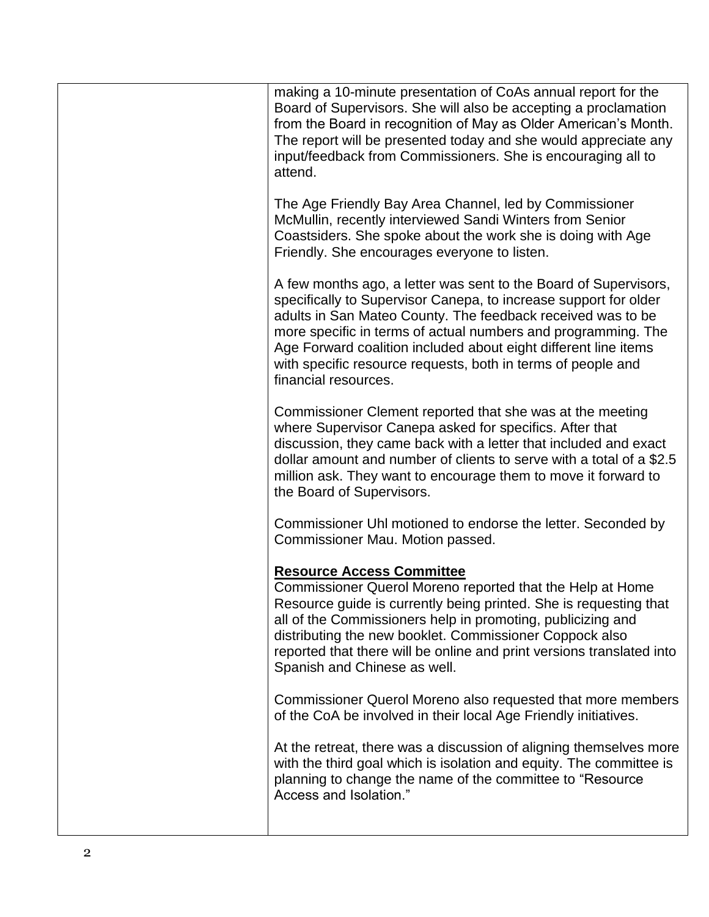| making a 10-minute presentation of CoAs annual report for the<br>Board of Supervisors. She will also be accepting a proclamation<br>from the Board in recognition of May as Older American's Month.<br>The report will be presented today and she would appreciate any<br>input/feedback from Commissioners. She is encouraging all to<br>attend.                                                                               |
|---------------------------------------------------------------------------------------------------------------------------------------------------------------------------------------------------------------------------------------------------------------------------------------------------------------------------------------------------------------------------------------------------------------------------------|
| The Age Friendly Bay Area Channel, led by Commissioner<br>McMullin, recently interviewed Sandi Winters from Senior<br>Coastsiders. She spoke about the work she is doing with Age<br>Friendly. She encourages everyone to listen.                                                                                                                                                                                               |
| A few months ago, a letter was sent to the Board of Supervisors,<br>specifically to Supervisor Canepa, to increase support for older<br>adults in San Mateo County. The feedback received was to be<br>more specific in terms of actual numbers and programming. The<br>Age Forward coalition included about eight different line items<br>with specific resource requests, both in terms of people and<br>financial resources. |
| Commissioner Clement reported that she was at the meeting<br>where Supervisor Canepa asked for specifics. After that<br>discussion, they came back with a letter that included and exact<br>dollar amount and number of clients to serve with a total of a \$2.5<br>million ask. They want to encourage them to move it forward to<br>the Board of Supervisors.                                                                 |
| Commissioner Uhl motioned to endorse the letter. Seconded by<br>Commissioner Mau. Motion passed.                                                                                                                                                                                                                                                                                                                                |
| <b>Resource Access Committee</b><br>Commissioner Querol Moreno reported that the Help at Home<br>Resource guide is currently being printed. She is requesting that<br>all of the Commissioners help in promoting, publicizing and<br>distributing the new booklet. Commissioner Coppock also<br>reported that there will be online and print versions translated into<br>Spanish and Chinese as well.                           |
| Commissioner Querol Moreno also requested that more members<br>of the CoA be involved in their local Age Friendly initiatives.                                                                                                                                                                                                                                                                                                  |
| At the retreat, there was a discussion of aligning themselves more<br>with the third goal which is isolation and equity. The committee is<br>planning to change the name of the committee to "Resource<br>Access and Isolation."                                                                                                                                                                                                |
|                                                                                                                                                                                                                                                                                                                                                                                                                                 |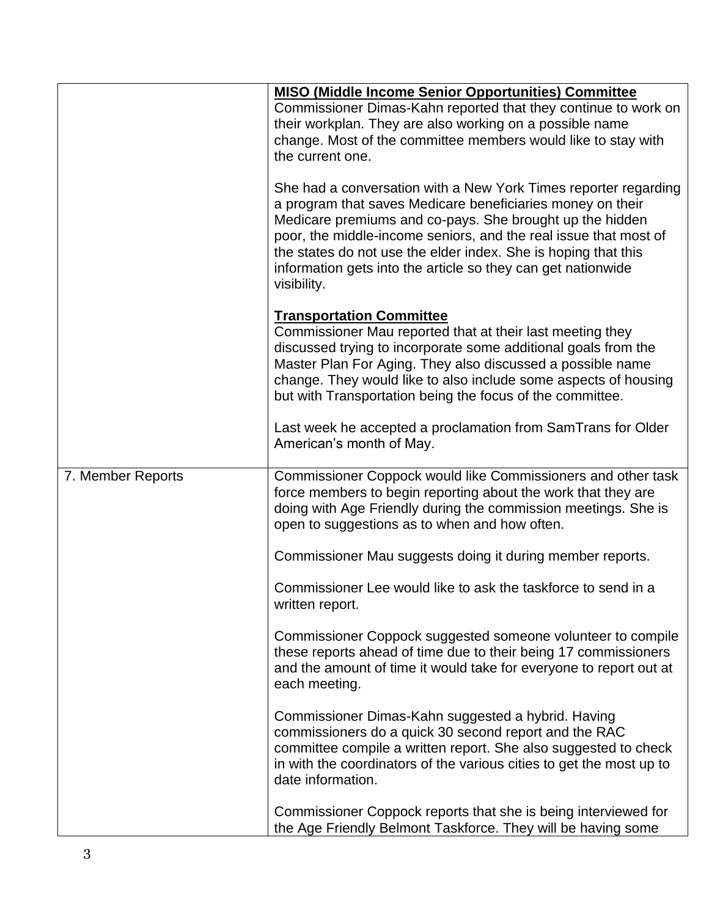|                   | <b>MISO (Middle Income Senior Opportunities) Committee</b><br>Commissioner Dimas-Kahn reported that they continue to work on<br>their workplan. They are also working on a possible name<br>change. Most of the committee members would like to stay with<br>the current one.                                                                                                                                  |
|-------------------|----------------------------------------------------------------------------------------------------------------------------------------------------------------------------------------------------------------------------------------------------------------------------------------------------------------------------------------------------------------------------------------------------------------|
|                   | She had a conversation with a New York Times reporter regarding<br>a program that saves Medicare beneficiaries money on their<br>Medicare premiums and co-pays. She brought up the hidden<br>poor, the middle-income seniors, and the real issue that most of<br>the states do not use the elder index. She is hoping that this<br>information gets into the article so they can get nationwide<br>visibility. |
|                   | <b>Transportation Committee</b><br>Commissioner Mau reported that at their last meeting they<br>discussed trying to incorporate some additional goals from the<br>Master Plan For Aging. They also discussed a possible name<br>change. They would like to also include some aspects of housing<br>but with Transportation being the focus of the committee.                                                   |
|                   | Last week he accepted a proclamation from SamTrans for Older<br>American's month of May.                                                                                                                                                                                                                                                                                                                       |
| 7. Member Reports | Commissioner Coppock would like Commissioners and other task<br>force members to begin reporting about the work that they are<br>doing with Age Friendly during the commission meetings. She is<br>open to suggestions as to when and how often.                                                                                                                                                               |
|                   | Commissioner Mau suggests doing it during member reports.                                                                                                                                                                                                                                                                                                                                                      |
|                   | Commissioner Lee would like to ask the taskforce to send in a<br>written report.                                                                                                                                                                                                                                                                                                                               |
|                   | Commissioner Coppock suggested someone volunteer to compile<br>these reports ahead of time due to their being 17 commissioners<br>and the amount of time it would take for everyone to report out at<br>each meeting.                                                                                                                                                                                          |
|                   | Commissioner Dimas-Kahn suggested a hybrid. Having<br>commissioners do a quick 30 second report and the RAC<br>committee compile a written report. She also suggested to check<br>in with the coordinators of the various cities to get the most up to<br>date information.                                                                                                                                    |
|                   | Commissioner Coppock reports that she is being interviewed for<br>the Age Friendly Belmont Taskforce. They will be having some                                                                                                                                                                                                                                                                                 |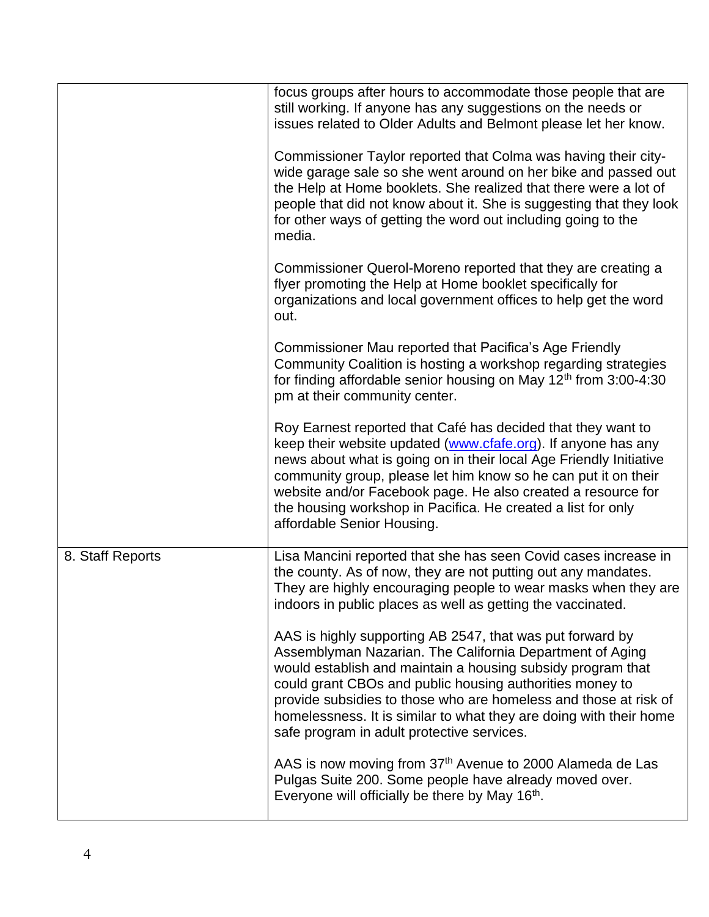|                  | focus groups after hours to accommodate those people that are<br>still working. If anyone has any suggestions on the needs or<br>issues related to Older Adults and Belmont please let her know.                                                                                                                                                                                                                                         |
|------------------|------------------------------------------------------------------------------------------------------------------------------------------------------------------------------------------------------------------------------------------------------------------------------------------------------------------------------------------------------------------------------------------------------------------------------------------|
|                  | Commissioner Taylor reported that Colma was having their city-<br>wide garage sale so she went around on her bike and passed out<br>the Help at Home booklets. She realized that there were a lot of<br>people that did not know about it. She is suggesting that they look<br>for other ways of getting the word out including going to the<br>media.                                                                                   |
|                  | Commissioner Querol-Moreno reported that they are creating a<br>flyer promoting the Help at Home booklet specifically for<br>organizations and local government offices to help get the word<br>out.                                                                                                                                                                                                                                     |
|                  | Commissioner Mau reported that Pacifica's Age Friendly<br>Community Coalition is hosting a workshop regarding strategies<br>for finding affordable senior housing on May 12 <sup>th</sup> from 3:00-4:30<br>pm at their community center.                                                                                                                                                                                                |
|                  | Roy Earnest reported that Café has decided that they want to<br>keep their website updated (www.cfafe.org). If anyone has any<br>news about what is going on in their local Age Friendly Initiative<br>community group, please let him know so he can put it on their<br>website and/or Facebook page. He also created a resource for<br>the housing workshop in Pacifica. He created a list for only<br>affordable Senior Housing.      |
| 8. Staff Reports | Lisa Mancini reported that she has seen Covid cases increase in<br>the county. As of now, they are not putting out any mandates.<br>They are highly encouraging people to wear masks when they are<br>indoors in public places as well as getting the vaccinated.                                                                                                                                                                        |
|                  | AAS is highly supporting AB 2547, that was put forward by<br>Assemblyman Nazarian. The California Department of Aging<br>would establish and maintain a housing subsidy program that<br>could grant CBOs and public housing authorities money to<br>provide subsidies to those who are homeless and those at risk of<br>homelessness. It is similar to what they are doing with their home<br>safe program in adult protective services. |
|                  | AAS is now moving from 37 <sup>th</sup> Avenue to 2000 Alameda de Las<br>Pulgas Suite 200. Some people have already moved over.<br>Everyone will officially be there by May 16 <sup>th</sup> .                                                                                                                                                                                                                                           |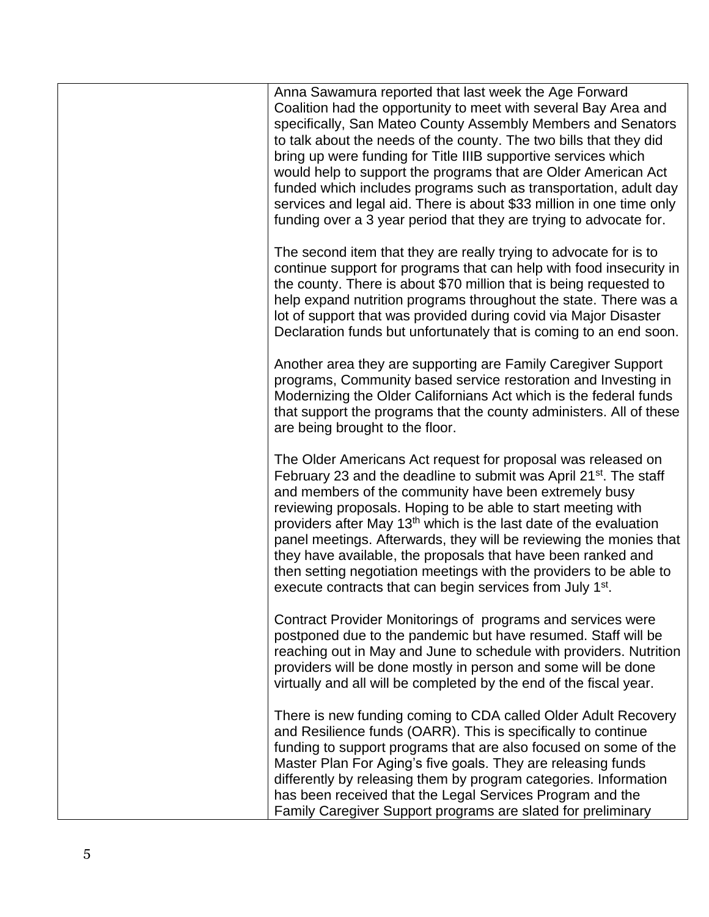| Anna Sawamura reported that last week the Age Forward<br>Coalition had the opportunity to meet with several Bay Area and<br>specifically, San Mateo County Assembly Members and Senators<br>to talk about the needs of the county. The two bills that they did<br>bring up were funding for Title IIIB supportive services which<br>would help to support the programs that are Older American Act<br>funded which includes programs such as transportation, adult day<br>services and legal aid. There is about \$33 million in one time only<br>funding over a 3 year period that they are trying to advocate for.                         |
|----------------------------------------------------------------------------------------------------------------------------------------------------------------------------------------------------------------------------------------------------------------------------------------------------------------------------------------------------------------------------------------------------------------------------------------------------------------------------------------------------------------------------------------------------------------------------------------------------------------------------------------------|
| The second item that they are really trying to advocate for is to<br>continue support for programs that can help with food insecurity in<br>the county. There is about \$70 million that is being requested to<br>help expand nutrition programs throughout the state. There was a<br>lot of support that was provided during covid via Major Disaster<br>Declaration funds but unfortunately that is coming to an end soon.                                                                                                                                                                                                                 |
| Another area they are supporting are Family Caregiver Support<br>programs, Community based service restoration and Investing in<br>Modernizing the Older Californians Act which is the federal funds<br>that support the programs that the county administers. All of these<br>are being brought to the floor.                                                                                                                                                                                                                                                                                                                               |
| The Older Americans Act request for proposal was released on<br>February 23 and the deadline to submit was April 21 <sup>st</sup> . The staff<br>and members of the community have been extremely busy<br>reviewing proposals. Hoping to be able to start meeting with<br>providers after May 13 <sup>th</sup> which is the last date of the evaluation<br>panel meetings. Afterwards, they will be reviewing the monies that<br>they have available, the proposals that have been ranked and<br>then setting negotiation meetings with the providers to be able to<br>execute contracts that can begin services from July 1 <sup>st</sup> . |
| Contract Provider Monitorings of programs and services were<br>postponed due to the pandemic but have resumed. Staff will be<br>reaching out in May and June to schedule with providers. Nutrition<br>providers will be done mostly in person and some will be done<br>virtually and all will be completed by the end of the fiscal year.                                                                                                                                                                                                                                                                                                    |
| There is new funding coming to CDA called Older Adult Recovery<br>and Resilience funds (OARR). This is specifically to continue<br>funding to support programs that are also focused on some of the<br>Master Plan For Aging's five goals. They are releasing funds<br>differently by releasing them by program categories. Information<br>has been received that the Legal Services Program and the<br>Family Caregiver Support programs are slated for preliminary                                                                                                                                                                         |